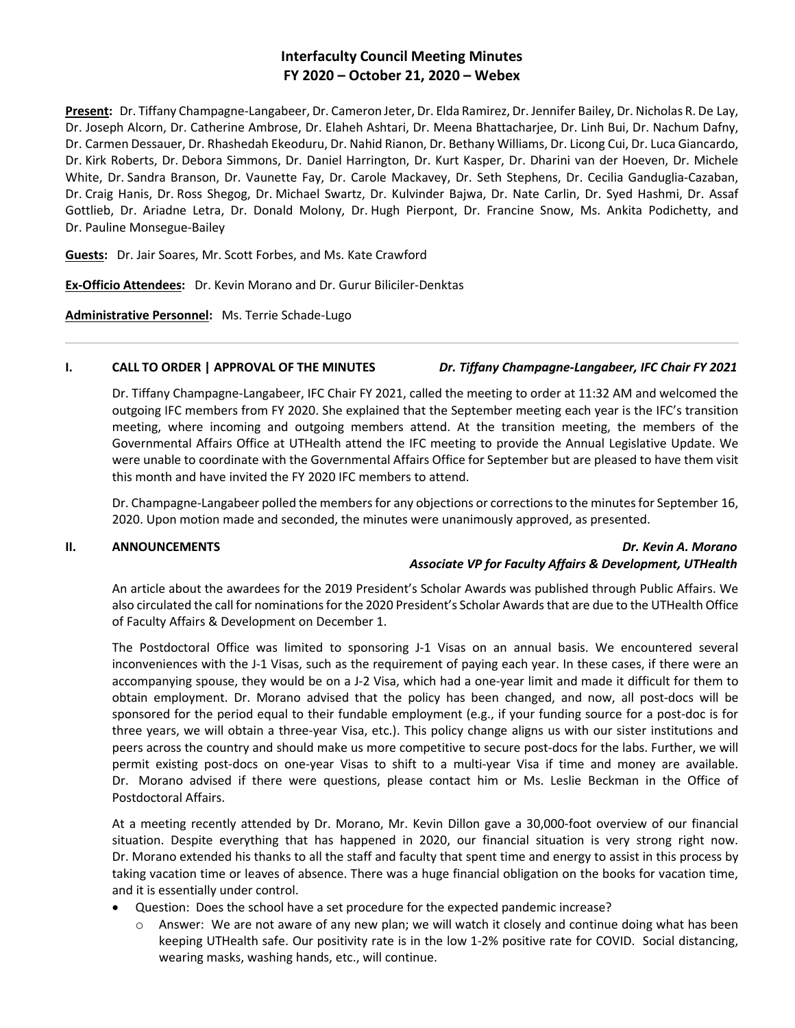# **Interfaculty Council Meeting Minutes FY 2020 – October 21, 2020 – Webex**

**Present:** Dr. Tiffany Champagne-Langabeer, Dr. Cameron Jeter, Dr. Elda Ramirez, Dr. Jennifer Bailey, Dr. Nicholas R. De Lay, Dr. Joseph Alcorn, Dr. Catherine Ambrose, Dr. Elaheh Ashtari, Dr. Meena Bhattacharjee, Dr. Linh Bui, Dr. Nachum Dafny, Dr. Carmen Dessauer, Dr. Rhashedah Ekeoduru, Dr. Nahid Rianon, Dr. Bethany Williams, Dr. Licong Cui, Dr. Luca Giancardo, Dr. Kirk Roberts, Dr. Debora Simmons, Dr. Daniel Harrington, Dr. Kurt Kasper, Dr. Dharini van der Hoeven, Dr. Michele White, Dr. Sandra Branson, Dr. Vaunette Fay, Dr. Carole Mackavey, Dr. Seth Stephens, Dr. Cecilia Ganduglia-Cazaban, Dr. Craig Hanis, Dr. Ross Shegog, Dr. Michael Swartz, Dr. Kulvinder Bajwa, Dr. Nate Carlin, Dr. Syed Hashmi, Dr. Assaf Gottlieb, Dr. Ariadne Letra, Dr. Donald Molony, Dr. Hugh Pierpont, Dr. Francine Snow, Ms. Ankita Podichetty, and Dr. Pauline Monsegue-Bailey

**Guests:** Dr. Jair Soares, Mr. Scott Forbes, and Ms. Kate Crawford

**Ex-Officio Attendees:** Dr. Kevin Morano and Dr. Gurur Biliciler-Denktas

**Administrative Personnel:** Ms. Terrie Schade-Lugo

## **I. CALL TO ORDER | APPROVAL OF THE MINUTES** *Dr. Tiffany Champagne-Langabeer, IFC Chair FY 2021*

Dr. Tiffany Champagne-Langabeer, IFC Chair FY 2021, called the meeting to order at 11:32 AM and welcomed the outgoing IFC members from FY 2020. She explained that the September meeting each year is the IFC's transition meeting, where incoming and outgoing members attend. At the transition meeting, the members of the Governmental Affairs Office at UTHealth attend the IFC meeting to provide the Annual Legislative Update. We were unable to coordinate with the Governmental Affairs Office for September but are pleased to have them visit this month and have invited the FY 2020 IFC members to attend.

Dr. Champagne-Langabeer polled the members for any objections or corrections to the minutes for September 16, 2020. Upon motion made and seconded, the minutes were unanimously approved, as presented.

## **II. ANNOUNCEMENTS** *Dr. Kevin A. Morano Associate VP for Faculty Affairs & Development, UTHealth*

An article about the awardees for the 2019 President's Scholar Awards was published through Public Affairs. We also circulated the call for nominations for the 2020 President's Scholar Awards that are due to the UTHealth Office of Faculty Affairs & Development on December 1.

The Postdoctoral Office was limited to sponsoring J-1 Visas on an annual basis. We encountered several inconveniences with the J-1 Visas, such as the requirement of paying each year. In these cases, if there were an accompanying spouse, they would be on a J-2 Visa, which had a one-year limit and made it difficult for them to obtain employment. Dr. Morano advised that the policy has been changed, and now, all post-docs will be sponsored for the period equal to their fundable employment (e.g., if your funding source for a post-doc is for three years, we will obtain a three-year Visa, etc.). This policy change aligns us with our sister institutions and peers across the country and should make us more competitive to secure post-docs for the labs. Further, we will permit existing post-docs on one-year Visas to shift to a multi-year Visa if time and money are available. Dr. Morano advised if there were questions, please contact him or Ms. Leslie Beckman in the Office of Postdoctoral Affairs.

At a meeting recently attended by Dr. Morano, Mr. Kevin Dillon gave a 30,000-foot overview of our financial situation. Despite everything that has happened in 2020, our financial situation is very strong right now. Dr. Morano extended his thanks to all the staff and faculty that spent time and energy to assist in this process by taking vacation time or leaves of absence. There was a huge financial obligation on the books for vacation time, and it is essentially under control.

- Question: Does the school have a set procedure for the expected pandemic increase?
	- $\circ$  Answer: We are not aware of any new plan; we will watch it closely and continue doing what has been keeping UTHealth safe. Our positivity rate is in the low 1-2% positive rate for COVID. Social distancing, wearing masks, washing hands, etc., will continue.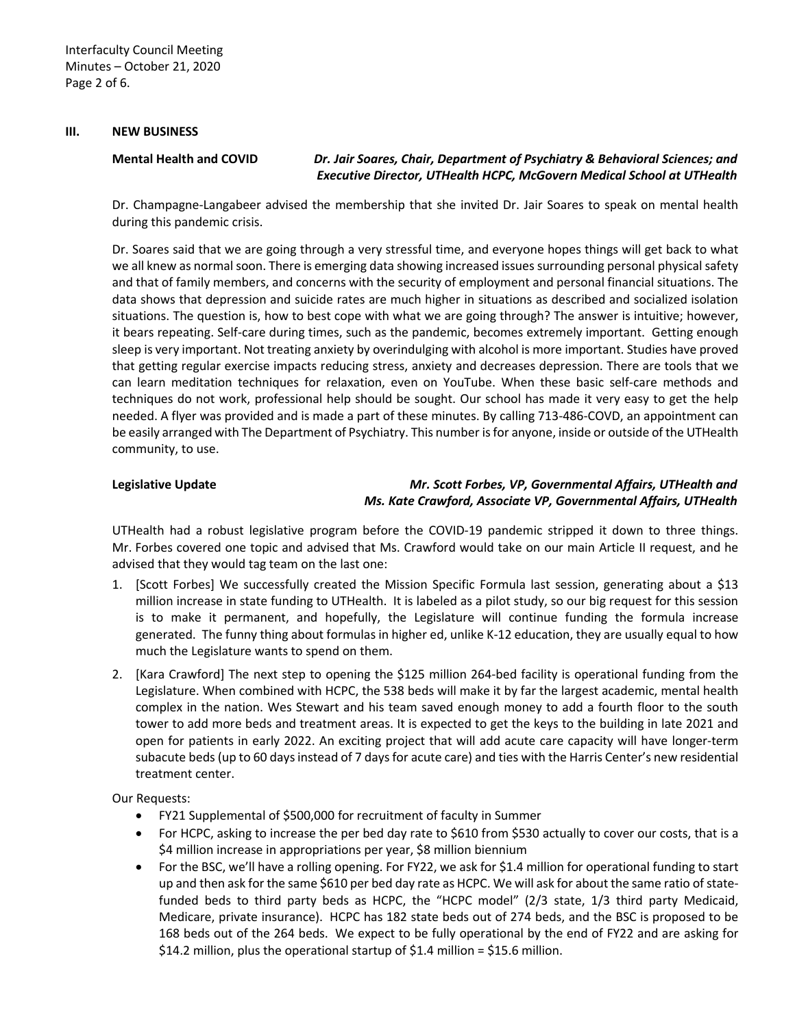### **III. NEW BUSINESS**

**Mental Health and COVID** *Dr. Jair Soares, Chair, Department of Psychiatry & Behavioral Sciences; and Executive Director, UTHealth HCPC, McGovern Medical School at UTHealth*

Dr. Champagne-Langabeer advised the membership that she invited Dr. Jair Soares to speak on mental health during this pandemic crisis.

Dr. Soares said that we are going through a very stressful time, and everyone hopes things will get back to what we all knew as normal soon. There is emerging data showing increased issues surrounding personal physical safety and that of family members, and concerns with the security of employment and personal financial situations. The data shows that depression and suicide rates are much higher in situations as described and socialized isolation situations. The question is, how to best cope with what we are going through? The answer is intuitive; however, it bears repeating. Self-care during times, such as the pandemic, becomes extremely important. Getting enough sleep is very important. Not treating anxiety by overindulging with alcohol is more important. Studies have proved that getting regular exercise impacts reducing stress, anxiety and decreases depression. There are tools that we can learn meditation techniques for relaxation, even on YouTube. When these basic self-care methods and techniques do not work, professional help should be sought. Our school has made it very easy to get the help needed. A flyer was provided and is made a part of these minutes. By calling 713-486-COVD, an appointment can be easily arranged with The Department of Psychiatry. This number is for anyone, inside or outside of the UTHealth community, to use.

## **Legislative Update** *Mr. Scott Forbes, VP, Governmental Affairs, UTHealth and Ms. Kate Crawford, Associate VP, Governmental Affairs, UTHealth*

UTHealth had a robust legislative program before the COVID-19 pandemic stripped it down to three things. Mr. Forbes covered one topic and advised that Ms. Crawford would take on our main Article II request, and he advised that they would tag team on the last one:

- 1. [Scott Forbes] We successfully created the Mission Specific Formula last session, generating about a \$13 million increase in state funding to UTHealth. It is labeled as a pilot study, so our big request for this session is to make it permanent, and hopefully, the Legislature will continue funding the formula increase generated. The funny thing about formulas in higher ed, unlike K-12 education, they are usually equal to how much the Legislature wants to spend on them.
- 2. [Kara Crawford] The next step to opening the \$125 million 264-bed facility is operational funding from the Legislature. When combined with HCPC, the 538 beds will make it by far the largest academic, mental health complex in the nation. Wes Stewart and his team saved enough money to add a fourth floor to the south tower to add more beds and treatment areas. It is expected to get the keys to the building in late 2021 and open for patients in early 2022. An exciting project that will add acute care capacity will have longer-term subacute beds (up to 60 days instead of 7 days for acute care) and ties with the Harris Center's new residential treatment center.

Our Requests:

- FY21 Supplemental of \$500,000 for recruitment of faculty in Summer
- For HCPC, asking to increase the per bed day rate to \$610 from \$530 actually to cover our costs, that is a \$4 million increase in appropriations per year, \$8 million biennium
- For the BSC, we'll have a rolling opening. For FY22, we ask for \$1.4 million for operational funding to start up and then ask for the same \$610 per bed day rate as HCPC. We will ask for about the same ratio of statefunded beds to third party beds as HCPC, the "HCPC model" (2/3 state, 1/3 third party Medicaid, Medicare, private insurance). HCPC has 182 state beds out of 274 beds, and the BSC is proposed to be 168 beds out of the 264 beds. We expect to be fully operational by the end of FY22 and are asking for \$14.2 million, plus the operational startup of \$1.4 million = \$15.6 million.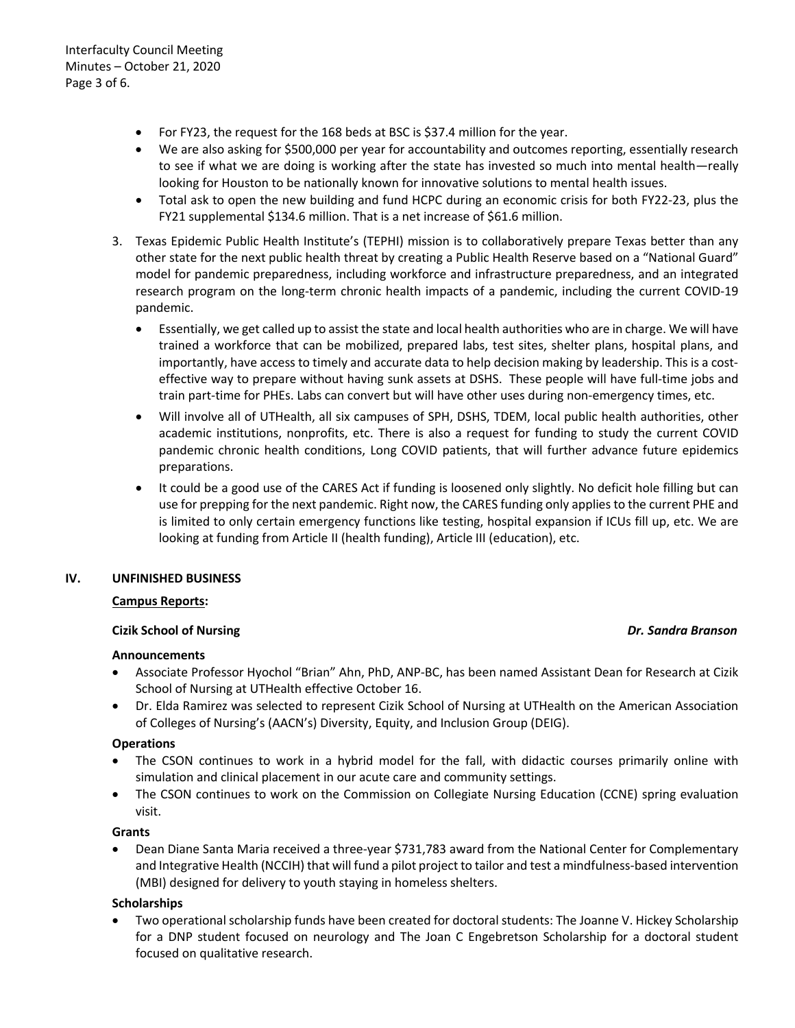- For FY23, the request for the 168 beds at BSC is \$37.4 million for the year.
- We are also asking for \$500,000 per year for accountability and outcomes reporting, essentially research to see if what we are doing is working after the state has invested so much into mental health—really looking for Houston to be nationally known for innovative solutions to mental health issues.
- Total ask to open the new building and fund HCPC during an economic crisis for both FY22-23, plus the FY21 supplemental \$134.6 million. That is a net increase of \$61.6 million.
- 3. Texas Epidemic Public Health Institute's (TEPHI) mission is to collaboratively prepare Texas better than any other state for the next public health threat by creating a Public Health Reserve based on a "National Guard" model for pandemic preparedness, including workforce and infrastructure preparedness, and an integrated research program on the long-term chronic health impacts of a pandemic, including the current COVID-19 pandemic.
	- Essentially, we get called up to assist the state and local health authorities who are in charge. We will have trained a workforce that can be mobilized, prepared labs, test sites, shelter plans, hospital plans, and importantly, have access to timely and accurate data to help decision making by leadership. This is a costeffective way to prepare without having sunk assets at DSHS. These people will have full-time jobs and train part-time for PHEs. Labs can convert but will have other uses during non-emergency times, etc.
	- Will involve all of UTHealth, all six campuses of SPH, DSHS, TDEM, local public health authorities, other academic institutions, nonprofits, etc. There is also a request for funding to study the current COVID pandemic chronic health conditions, Long COVID patients, that will further advance future epidemics preparations.
	- It could be a good use of the CARES Act if funding is loosened only slightly. No deficit hole filling but can use for prepping for the next pandemic. Right now, the CARES funding only applies to the current PHE and is limited to only certain emergency functions like testing, hospital expansion if ICUs fill up, etc. We are looking at funding from Article II (health funding), Article III (education), etc.

## **IV. UNFINISHED BUSINESS**

### **Campus Reports:**

### **Cizik School of Nursing** *Dr. Sandra Branson*

## **Announcements**

- Associate Professor Hyochol "Brian" Ahn, PhD, ANP-BC, has been named Assistant Dean for Research at Cizik School of Nursing at UTHealth effective October 16.
- Dr. Elda Ramirez was selected to represent Cizik School of Nursing at UTHealth on the American Association of Colleges of Nursing's (AACN's) Diversity, Equity, and Inclusion Group (DEIG).

## **Operations**

- The CSON continues to work in a hybrid model for the fall, with didactic courses primarily online with simulation and clinical placement in our acute care and community settings.
- The CSON continues to work on the Commission on Collegiate Nursing Education (CCNE) spring evaluation visit.

## **Grants**

• Dean Diane Santa Maria received a three-year \$731,783 award from the National Center for Complementary and Integrative Health (NCCIH) that will fund a pilot project to tailor and test a mindfulness-based intervention (MBI) designed for delivery to youth staying in homeless shelters.

## **Scholarships**

• Two operational scholarship funds have been created for doctoral students: The Joanne V. Hickey Scholarship for a DNP student focused on neurology and The Joan C Engebretson Scholarship for a doctoral student focused on qualitative research.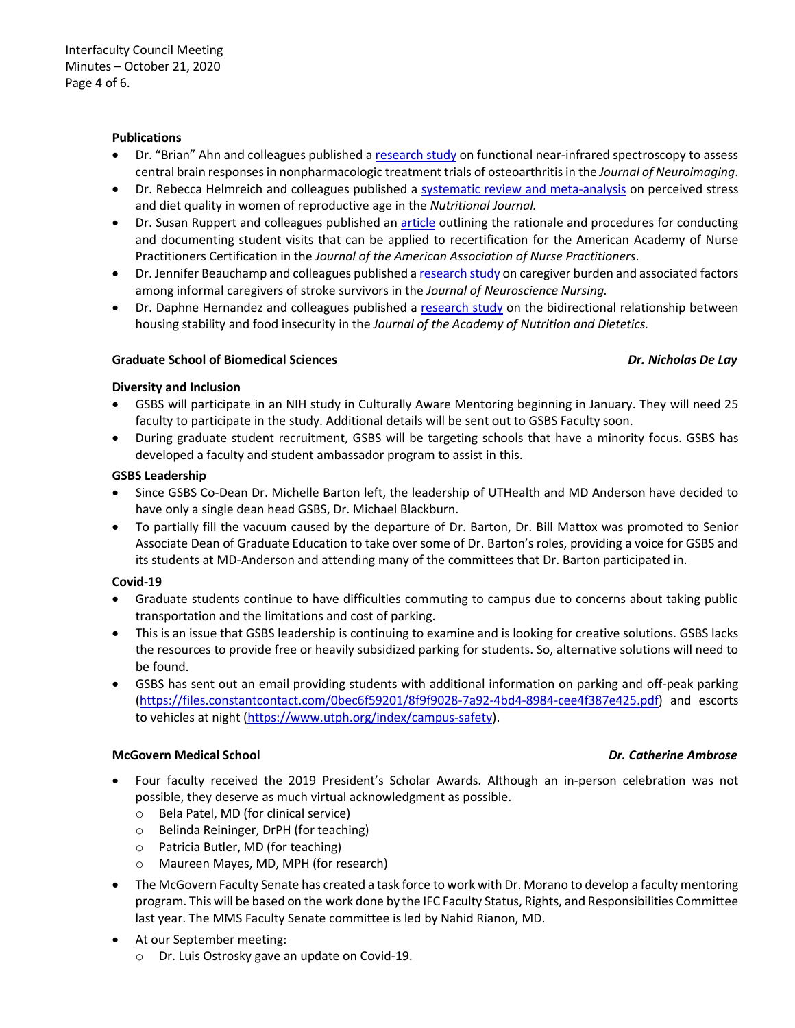### **Publications**

- Dr. "Brian" Ahn and colleagues published a [research study](https://onlinelibrary.wiley.com/doi/10.1111/jon.12782) on functional near-infrared spectroscopy to assess central brain responses in nonpharmacologic treatment trials of osteoarthritis in the *Journal of Neuroimaging*.
- Dr. Rebecca Helmreich and colleagues published a [systematic review and meta-analysis](https://nutritionj.biomedcentral.com/articles/10.1186/s12937-020-00609-w) on perceived stress and diet quality in women of reproductive age in the *Nutritional Journal.*
- Dr. Susan Ruppert and colleagues published an [article](https://journals.lww.com/jaanp/Abstract/2020/09000/The_value_of_faculty_during_student_on_site.6.aspx) outlining the rationale and procedures for conducting and documenting student visits that can be applied to recertification for the American Academy of Nurse Practitioners Certification in the *Journal of the American Association of Nurse Practitioners*.
- Dr. Jennifer Beauchamp and colleagues published [a research study](https://journals.lww.com/jnnonline/Abstract/9000/Caregiver_Burden_and_Associated_Factors_Among.99778.aspx) on caregiver burden and associated factors among informal caregivers of stroke survivors in the *Journal of Neuroscience Nursing.*
- Dr. Daphne Hernandez and colleagues published a [research study](https://jandonline.org/article/S2212-2672(20)31202-8/fulltext) on the bidirectional relationship between housing stability and food insecurity in the *Journal of the Academy of Nutrition and Dietetics.*

### **Graduate School of Biomedical Sciences** *Dr. Nicholas De Lay*

### **Diversity and Inclusion**

- GSBS will participate in an NIH study in Culturally Aware Mentoring beginning in January. They will need 25 faculty to participate in the study. Additional details will be sent out to GSBS Faculty soon.
- During graduate student recruitment, GSBS will be targeting schools that have a minority focus. GSBS has developed a faculty and student ambassador program to assist in this.

### **GSBS Leadership**

- Since GSBS Co-Dean Dr. Michelle Barton left, the leadership of UTHealth and MD Anderson have decided to have only a single dean head GSBS, Dr. Michael Blackburn.
- To partially fill the vacuum caused by the departure of Dr. Barton, Dr. Bill Mattox was promoted to Senior Associate Dean of Graduate Education to take over some of Dr. Barton's roles, providing a voice for GSBS and its students at MD-Anderson and attending many of the committees that Dr. Barton participated in.

### **Covid-19**

- Graduate students continue to have difficulties commuting to campus due to concerns about taking public transportation and the limitations and cost of parking.
- This is an issue that GSBS leadership is continuing to examine and is looking for creative solutions. GSBS lacks the resources to provide free or heavily subsidized parking for students. So, alternative solutions will need to be found.
- GSBS has sent out an email providing students with additional information on parking and off-peak parking [\(https://files.constantcontact.com/0bec6f59201/8f9f9028-7a92-4bd4-8984-cee4f387e425.pdf\)](https://files.constantcontact.com/0bec6f59201/8f9f9028-7a92-4bd4-8984-cee4f387e425.pdf) and escorts to vehicles at night [\(https://www.utph.org/index/campus-safety\)](https://www.utph.org/index/campus-safety).

### **McGovern Medical School** *Dr. Catherine Ambrose*

- Four faculty received the 2019 President's Scholar Awards. Although an in-person celebration was not possible, they deserve as much virtual acknowledgment as possible.
	- o Bela Patel, MD (for clinical service)
	- o Belinda Reininger, DrPH (for teaching)
	- o Patricia Butler, MD (for teaching)
	- o Maureen Mayes, MD, MPH (for research)
- The McGovern Faculty Senate has created a task force to work with Dr. Morano to develop a faculty mentoring program. This will be based on the work done by the IFC Faculty Status, Rights, and Responsibilities Committee last year. The MMS Faculty Senate committee is led by Nahid Rianon, MD.
- At our September meeting:
	- o Dr. Luis Ostrosky gave an update on Covid-19.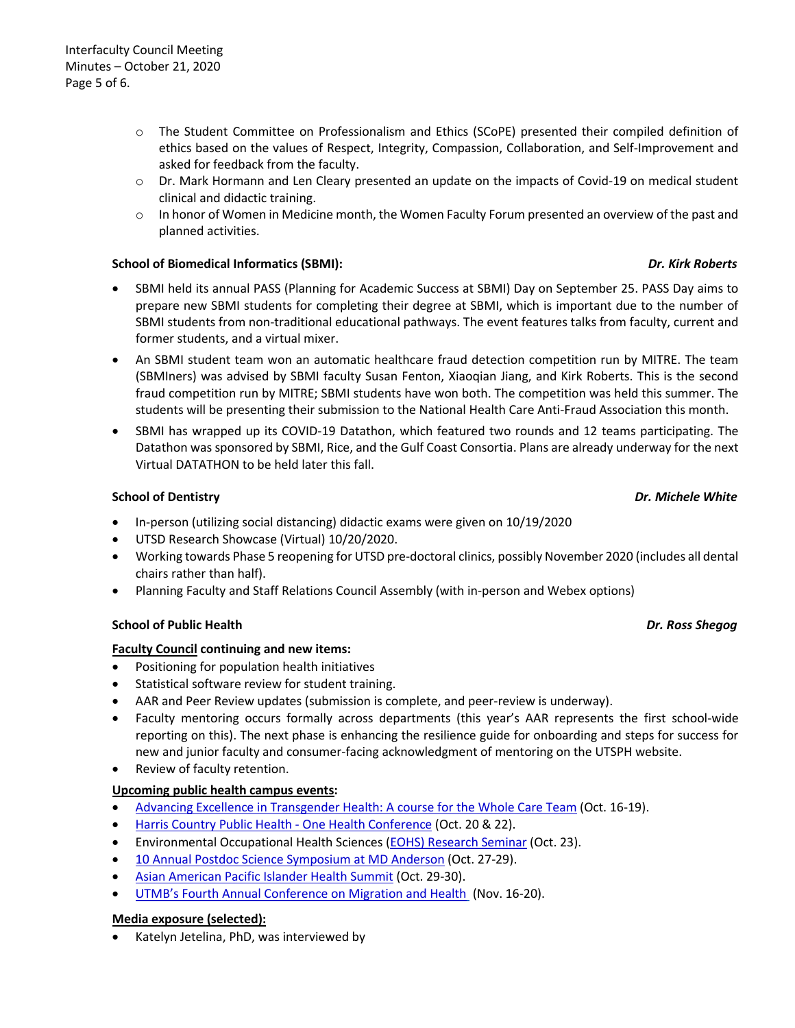- o The Student Committee on Professionalism and Ethics (SCoPE) presented their compiled definition of ethics based on the values of Respect, Integrity, Compassion, Collaboration, and Self-Improvement and asked for feedback from the faculty.
- o Dr. Mark Hormann and Len Cleary presented an update on the impacts of Covid-19 on medical student clinical and didactic training.
- $\circ$  In honor of Women in Medicine month, the Women Faculty Forum presented an overview of the past and planned activities.

## **School of Biomedical Informatics (SBMI):** *Dr. Kirk Roberts*

- SBMI held its annual PASS (Planning for Academic Success at SBMI) Day on September 25. PASS Day aims to prepare new SBMI students for completing their degree at SBMI, which is important due to the number of SBMI students from non-traditional educational pathways. The event features talks from faculty, current and former students, and a virtual mixer.
- An SBMI student team won an automatic healthcare fraud detection competition run by MITRE. The team (SBMIners) was advised by SBMI faculty Susan Fenton, Xiaoqian Jiang, and Kirk Roberts. This is the second fraud competition run by MITRE; SBMI students have won both. The competition was held this summer. The students will be presenting their submission to the National Health Care Anti-Fraud Association this month.
- SBMI has wrapped up its COVID-19 Datathon, which featured two rounds and 12 teams participating. The Datathon was sponsored by SBMI, Rice, and the Gulf Coast Consortia. Plans are already underway for the next Virtual DATATHON to be held later this fall.

## **School of Dentistry** *Dr. Michele White*

- In-person (utilizing social distancing) didactic exams were given on 10/19/2020
- UTSD Research Showcase (Virtual) 10/20/2020.
- Working towards Phase 5 reopening for UTSD pre-doctoral clinics, possibly November 2020 (includes all dental chairs rather than half).
- Planning Faculty and Staff Relations Council Assembly (with in-person and Webex options)

## **School of Public Health** *Dr. Ross Shegog*

## **Faculty Council continuing and new items:**

- Positioning for population health initiatives
- Statistical software review for student training.
- AAR and Peer Review updates (submission is complete, and peer-review is underway).
- Faculty mentoring occurs formally across departments (this year's AAR represents the first school-wide reporting on this). The next phase is enhancing the resilience guide for onboarding and steps for success for new and junior faculty and consumer-facing acknowledgment of mentoring on the UTSPH website.
- Review of faculty retention.

## **Upcoming public health campus events:**

- [Advancing Excellence in Transgender Health: A course for the Whole Care Team](https://urldefense.proofpoint.com/v2/url?u=http-3A__r20.rs6.net_tn.jsp-3Ff-3D001yBiL4otCYZnrE1AAMe9A6-5Fh1FnkGOIItBfKi77iTiEr3qq1Jut9qCqXVvLZfXM-2DkufWmH16VVPAVMQ8moME-2DjxK9gg92oIdXp9GJtCe9PzhGcayeHII0-5F9u53VKCQZyvxscG-2DrKDuO2BRPLE7ttjT9Mx0cF6NQW6sRtIBz32PXfKBc7EQEYZ9YrNIr3AKnBa5UdnpXNT5m-2DdJrKNvbpOIcLoGObxFH2PA7yfZxBJ2yiPTODVdHDOpmi8my16PIzPBn7cd8Eq5aaphfoGE-5FScxZm0ikAgtn-2DqzMK1Ev-5FiwicwWInWoZnD9YymHXd7WsiVGbceTt-5FskHtweA0wvq-2DcFyChqmyylmof1Zk2riMjODfTrwp6pXWUSCQBxY9zwcGJOubXXNRQvM1tiW2jfW-2DmEErc7n-5F9qoObiLYqMBLeQzpWEDDGSmgWoLRWfD4v-5FKHe-26c-3DbG2qkgQnfx1FWpjIQqxSCdaEtJQMIfW3oaZBh-2Dnwq5dS507iNgQknA-3D-3D-26ch-3DFvFlPlx2SSfiIacXtmei1zKIdeKtJpmcclPigZ1168wfS0UU-2Du7yOw-3D-3D&d=DwMFaQ&c=bKRySV-ouEg_AT-w2QWsTdd9X__KYh9Eq2fdmQDVZgw&r=-7rCiWMsLux4m3QAsFQFsuWBrDjZtYd0GMgYB4caM1c&m=3ibdtaOwQJSijFi2NeHNb36UUMvbaZDnohtVqxLWmTc&s=FSTIwDbreAhX5ytLPyczCy2te_ZEmKABk_rOr3Nlv98&e=) (Oct. 16-19).
- [Harris Country Public Health -](https://urldefense.proofpoint.com/v2/url?u=http-3A__r20.rs6.net_tn.jsp-3Ff-3D001yBiL4otCYZnrE1AAMe9A6-5Fh1FnkGOIItBfKi77iTiEr3qq1Jut9qCv-2DN3KqU3k-2D7bt6VGJ7v6vqEpWGZ-5Fcg-5F5UA2OMJfjK2yDxJOR1hUk8eiyHQYnK6XgQyNvJqN0N2sGlm-5FAXbdw24g7g8Gp7mx-2D0A8hAuvTzuYhYDudyCutR-5F-2DzNDhZlDzDhUZAbQcZEJyIE7ia7qssNCDBS3Nb2psjBE9DEpNuRsRYkLNhrK-2DGYdgCo0Ytfbz-5FA-3D-3D-26c-3DbG2qkgQnfx1FWpjIQqxSCdaEtJQMIfW3oaZBh-2Dnwq5dS507iNgQknA-3D-3D-26ch-3DFvFlPlx2SSfiIacXtmei1zKIdeKtJpmcclPigZ1168wfS0UU-2Du7yOw-3D-3D&d=DwMFaQ&c=bKRySV-ouEg_AT-w2QWsTdd9X__KYh9Eq2fdmQDVZgw&r=-7rCiWMsLux4m3QAsFQFsuWBrDjZtYd0GMgYB4caM1c&m=3ibdtaOwQJSijFi2NeHNb36UUMvbaZDnohtVqxLWmTc&s=-pMZ1BdqJ1A24wVpYtRAPyE7f7xc5325BHc0yJUGINg&e=) One Health Conference (Oct. 20 & 22).
- Environmental Occupational Health Sciences [\(EOHS\) Research Seminar](https://urldefense.proofpoint.com/v2/url?u=http-3A__r20.rs6.net_tn.jsp-3Ff-3D001yBiL4otCYZnrE1AAMe9A6-5Fh1FnkGOIItBfKi77iTiEr3qq1Jut9qCv-2DN3KqU3k-2D73ptrzZK98mbmSZ1hTFkS7Ix3kUMdsF3AtWjutEBVfzfXi-2D3Ru3uFT0Vofggh7SgxDXr-2DU9bFGLCFqUurAsLgzfvW0D9u6HWA7gF6p5L6QEWpBn4WiAj0HUYR2PkPMMehuJ9oPh23nEurDGcaxbyDflq87Ej7I96HELAME1gm3Pg-3D-26c-3DbG2qkgQnfx1FWpjIQqxSCdaEtJQMIfW3oaZBh-2Dnwq5dS507iNgQknA-3D-3D-26ch-3DFvFlPlx2SSfiIacXtmei1zKIdeKtJpmcclPigZ1168wfS0UU-2Du7yOw-3D-3D&d=DwMFaQ&c=bKRySV-ouEg_AT-w2QWsTdd9X__KYh9Eq2fdmQDVZgw&r=-7rCiWMsLux4m3QAsFQFsuWBrDjZtYd0GMgYB4caM1c&m=3ibdtaOwQJSijFi2NeHNb36UUMvbaZDnohtVqxLWmTc&s=9GJkDHKMqacm5_tUHBwzG37rLUtKIM2XrAvnjzt5_-Y&e=) (Oct. 23).
- [10 Annual Postdoc Science Symposium at MD Anderson](https://urldefense.proofpoint.com/v2/url?u=http-3A__r20.rs6.net_tn.jsp-3Ff-3D001yBiL4otCYZnrE1AAMe9A6-5Fh1FnkGOIItBfKi77iTiEr3qq1Jut9qCqXVvLZfXM-2DkGaafuIAhk290Q5PYWbhgv-2DRJnQk7XyCf111g-2DoRRllnwHEaFRH8wc-5FB0y8FjatwS-2DG2Gy0Ah5Hia0AzwcQZeZx0Qg1-5F7aLXZ3-2Dc7knAk-2DwBifBmWS37CZKPeeGRjrklWD7YNbPmiZiHziPHUL9iDWfpnNTFwLP5ro54U2vie7Ws-3D-26c-3DbG2qkgQnfx1FWpjIQqxSCdaEtJQMIfW3oaZBh-2Dnwq5dS507iNgQknA-3D-3D-26ch-3DFvFlPlx2SSfiIacXtmei1zKIdeKtJpmcclPigZ1168wfS0UU-2Du7yOw-3D-3D&d=DwMFaQ&c=bKRySV-ouEg_AT-w2QWsTdd9X__KYh9Eq2fdmQDVZgw&r=-7rCiWMsLux4m3QAsFQFsuWBrDjZtYd0GMgYB4caM1c&m=3ibdtaOwQJSijFi2NeHNb36UUMvbaZDnohtVqxLWmTc&s=bK8ATr_XsDWpVHVZN8fEZOG7hMUerW4anJSlDgGqDYM&e=) (Oct. 27-29).
- [Asian American Pacific Islander Health Summit](https://urldefense.proofpoint.com/v2/url?u=http-3A__r20.rs6.net_tn.jsp-3Ff-3D001yBiL4otCYZnrE1AAMe9A6-5Fh1FnkGOIItBfKi77iTiEr3qq1Jut9qCh1fMeMUuSeyRAi5te5o9Oj91dTuAdjun63PcjvAxxQ8u28fikNvZt-2DaxRKg4jkvONetmtYMfMAALhlUWEcCScPlrjf4C4YOvl61RVgkNRiM-5Fr5LCGYjy-5FVlaxbk87NfwU7KWb1-5FUATkletO35VFSICFI8oUmFyOkOHruIbPi7LBy660qBtMits-3D-26c-3DbG2qkgQnfx1FWpjIQqxSCdaEtJQMIfW3oaZBh-2Dnwq5dS507iNgQknA-3D-3D-26ch-3DFvFlPlx2SSfiIacXtmei1zKIdeKtJpmcclPigZ1168wfS0UU-2Du7yOw-3D-3D&d=DwMFaQ&c=bKRySV-ouEg_AT-w2QWsTdd9X__KYh9Eq2fdmQDVZgw&r=-7rCiWMsLux4m3QAsFQFsuWBrDjZtYd0GMgYB4caM1c&m=3ibdtaOwQJSijFi2NeHNb36UUMvbaZDnohtVqxLWmTc&s=O5wncO-J9XpIYaFdQOn7Ktt8yNWb3e2Rb29a41GuaLM&e=) (Oct. 29-30).
- [UTMB's Fourth Annual Conference on Migration and Health](https://urldefense.proofpoint.com/v2/url?u=http-3A__r20.rs6.net_tn.jsp-3Ff-3D001yBiL4otCYZnrE1AAMe9A6-5Fh1FnkGOIItBfKi77iTiEr3qq1Jut9qCqXVvLZfXM-2DkbUdL8A71686mQiXxs2FDZQIIFKFOsrHAElrVDw4tIQ-5FLGXlJBV08-5FiRYExpdkAzm5-2D24Stfk7-2D0yHlAE4EG7Nw-3D-3D-26c-3DbG2qkgQnfx1FWpjIQqxSCdaEtJQMIfW3oaZBh-2Dnwq5dS507iNgQknA-3D-3D-26ch-3DFvFlPlx2SSfiIacXtmei1zKIdeKtJpmcclPigZ1168wfS0UU-2Du7yOw-3D-3D&d=DwMFaQ&c=bKRySV-ouEg_AT-w2QWsTdd9X__KYh9Eq2fdmQDVZgw&r=-7rCiWMsLux4m3QAsFQFsuWBrDjZtYd0GMgYB4caM1c&m=3ibdtaOwQJSijFi2NeHNb36UUMvbaZDnohtVqxLWmTc&s=I54rSV-dsB0_oCNi6SU3o16WT1ACk7JIrM5QRi4Raf0&e=) (Nov. 16-20).

## **Media exposure (selected):**

• Katelyn Jetelina, PhD, was interviewed b[y](http://r20.rs6.net/tn.jsp?f=001yBiL4otCYZnrE1AAMe9A6_h1FnkGOIItBfKi77iTiEr3qq1Jut9qCv-N3KqU3k-79M0cdCCkgYSzYW0em-GzutnsVv_EF4_vw7ybS5OAyxoGQlqd_L6M5xFoVMkSHtv8PL8fgnvvLSSO0hhKu9_xfxCL1cIjOc8Mi6SN6j3C4VNnNMFVNkcYLpOFp7HQNSokcV3duSZIQ4zAJt1GwmW2qQBNHAkSNH124NxLG1P6Swsio1oKozIxRo7DVeijZJfzyCyuSj6qOFnQwGK9EFrT6EI6zTTIL31euF6rFfUCi4PmykWVJUcNjulrHcsCF7yzp_AbabrWEhiodutFdVVpuF6t40r5_eysMnpxYirQNLrP_LlrRVsRtUVS0UNaImZY-UW4k8O6MxA3JntV58lwSD_mPS3VX5JF4waLhcdSlqGhYQSX2SvWw1xvNnDe7WjY9G2hApeem06V_U1G4A2xUOdXmYWC23OkYEMINq-HJ_-5BBWjiRkGgZbDhN8y_w2w89ynNxJE03D7193c8jLhcs1Wt_paKsY29PH34IrSo6n3y2DaoE93RVGnBqQSzVeY-WdzC31JNE8dNybZ8-2lwHOjY2N4aZM9rkwrJ_MvpSeYoa-2RoZTTBSGZbfoFAtB3nUn2aw5M-yDbPL2Ryug1p2_swh4uNi3PopgmNMnd1HtOrtse7HfBiNSwecY3UClUR4kjbwoQKFIuiq5fTIGwMKmoP8kMOz23WXlwH2w20xi5-g78KT79KaOFJryuQ9VO0p4iEix2zM2S5U9kf5LsJ9qp0zvxxTzL9MO8SZGlExkphimnULttVIw_kcWnXG4NSyDb9Sr1qeuzCrl7HfRVqJ3D3G0tUDc_0WbSL0Iqb8e5m8U4-gpQOx_j4DS1Nei3zrzwBIIBGL4QC2wCz4VGY9OZM2uaz7VIufo9i9HCw08ybDbvUyDUIv1ZTXiBx-e&c=bG2qkgQnfx1FWpjIQqxSCdaEtJQMIfW3oaZBh-nwq5dS507iNgQknA==&ch=FvFlPlx2SSfiIacXtmei1zKIdeKtJpmcclPigZ1168wfS0UU-u7yOw==)